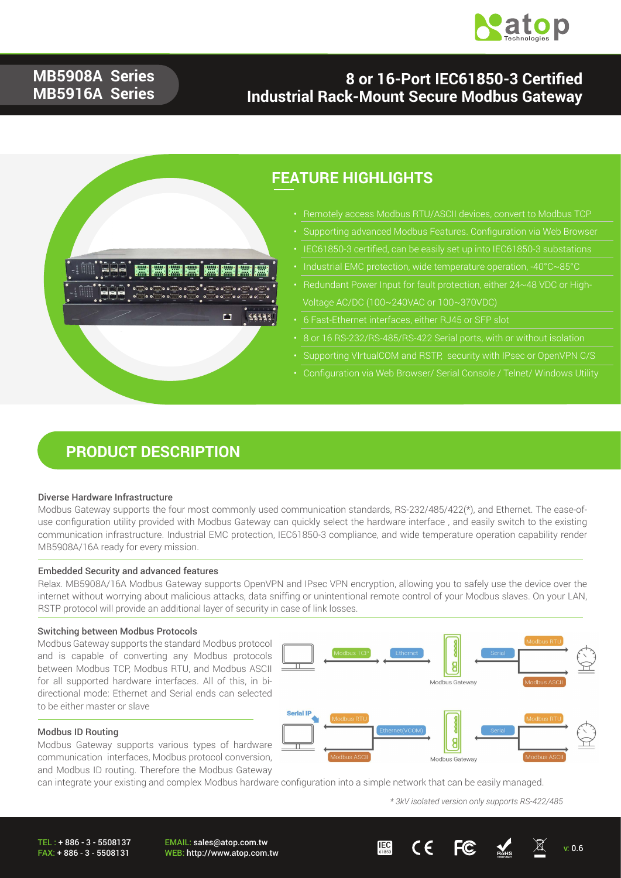

### **MB5908A Series MB5916A Series**

## **8 or 16-Port IEC61850-3 Certified Industrial Rack-Mount Secure Modbus Gateway**



## **FEATURE HIGHLIGHTS**

- - Supporting advanced Modbus Features. Configuration via Web Browser
- -
- 
- 
- 8 or 16 RS-232/RS-485/RS-422 Serial ports, with or without isolation
- Supporting VIrtualCOM and RSTP, security with IPsec or OpenVPN C/S
- Configuration via Web Browser/ Serial Console / Telnet/ Windows Utility

## **PRODUCT DESCRIPTION**

#### Diverse Hardware Infrastructure

Modbus Gateway supports the four most commonly used communication standards, RS-232/485/422(\*), and Ethernet. The ease-ofuse configuration utility provided with Modbus Gateway can quickly select the hardware interface , and easily switch to the existing communication infrastructure. Industrial EMC protection, IEC61850-3 compliance, and wide temperature operation capability render MB5908A/16A ready for every mission.

#### Embedded Security and advanced features

Relax. MB5908A/16A Modbus Gateway supports OpenVPN and IPsec VPN encryption, allowing you to safely use the device over the internet without worrying about malicious attacks, data sniffing or unintentional remote control of your Modbus slaves. On your LAN, RSTP protocol will provide an additional layer of security in case of link losses.

#### Switching between Modbus Protocols

Modbus Gateway supports the standard Modbus protocol and is capable of converting any Modbus protocols between Modbus TCP, Modbus RTU, and Modbus ASCII for all supported hardware interfaces. All of this, in bidirectional mode: Ethernet and Serial ends can selected to be either master or slave



#### Modbus ID Routing

Modbus Gateway supports various types of hardware communication interfaces, Modbus protocol conversion, and Modbus ID routing. Therefore the Modbus Gateway

can integrate your existing and complex Modbus hardware configuration into a simple network that can be easily managed.

*\* 3kV isolated version only supports RS-422/485*

TEL : + 886 - 3 - 5508137 FAX: + 886 - 3 - 5508131

EMAIL: sales@atop.com.tw



Modbus Gateway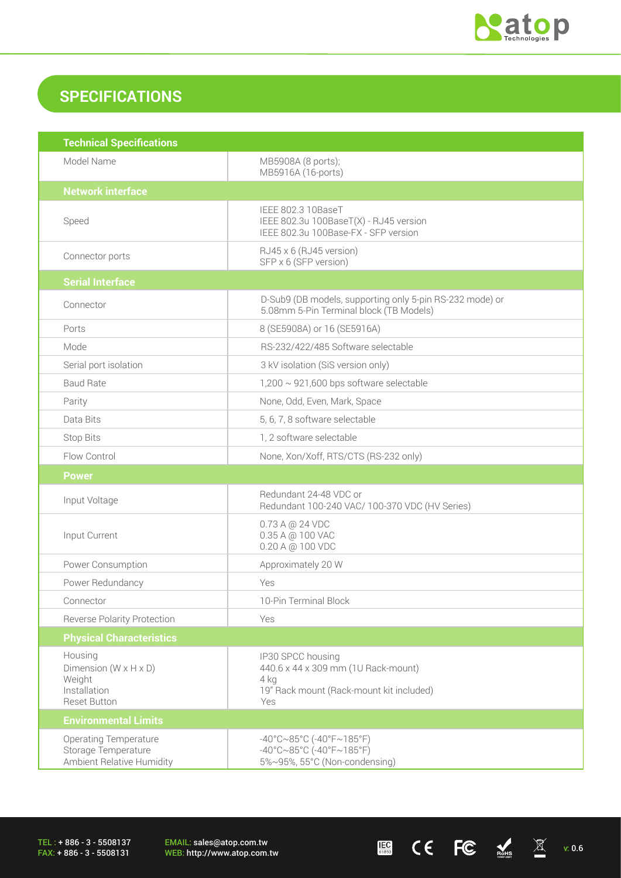

 $\begin{array}{ccccc} \mathbf{E} & \mathbf{C} & \mathbf{C} & \mathbf{C} & \mathbf{C} & \mathbb{R}^{4} & \mathbb{R} & \mathbb{R}^{4} \end{array}$ 

# **SPECIFICATIONS**

| <b>Technical Specifications</b>                                                                 |                                                                                                                                       |  |
|-------------------------------------------------------------------------------------------------|---------------------------------------------------------------------------------------------------------------------------------------|--|
| Model Name                                                                                      | MB5908A (8 ports);<br>MB5916A (16-ports)                                                                                              |  |
| <b>Network interface</b>                                                                        |                                                                                                                                       |  |
| Speed                                                                                           | IEEE 802.3 10BaseT<br>IEEE 802.3u 100BaseT(X) - RJ45 version<br>IEEE 802.3u 100Base-FX - SFP version                                  |  |
| Connector ports                                                                                 | RJ45 x 6 (RJ45 version)<br>SFP x 6 (SFP version)                                                                                      |  |
| <b>Serial Interface</b>                                                                         |                                                                                                                                       |  |
| Connector                                                                                       | D-Sub9 (DB models, supporting only 5-pin RS-232 mode) or<br>5.08mm 5-Pin Terminal block (TB Models)                                   |  |
| Ports                                                                                           | 8 (SE5908A) or 16 (SE5916A)                                                                                                           |  |
| Mode                                                                                            | RS-232/422/485 Software selectable                                                                                                    |  |
| Serial port isolation                                                                           | 3 kV isolation (SiS version only)                                                                                                     |  |
| <b>Baud Rate</b>                                                                                | $1,200 \sim 921,600$ bps software selectable                                                                                          |  |
| Parity                                                                                          | None, Odd, Even, Mark, Space                                                                                                          |  |
| Data Bits                                                                                       | 5, 6, 7, 8 software selectable                                                                                                        |  |
| <b>Stop Bits</b>                                                                                | 1, 2 software selectable                                                                                                              |  |
| Flow Control                                                                                    | None, Xon/Xoff, RTS/CTS (RS-232 only)                                                                                                 |  |
| <b>Power</b>                                                                                    |                                                                                                                                       |  |
| Input Voltage                                                                                   | Redundant 24-48 VDC or<br>Redundant 100-240 VAC/ 100-370 VDC (HV Series)                                                              |  |
| Input Current                                                                                   | 0.73 A @ 24 VDC<br>0.35 A @ 100 VAC<br>0.20 A @ 100 VDC                                                                               |  |
| Power Consumption                                                                               | Approximately 20 W                                                                                                                    |  |
| Power Redundancy                                                                                | Yes                                                                                                                                   |  |
| Connector                                                                                       | 10-Pin Terminal Block                                                                                                                 |  |
| <b>Reverse Polarity Protection</b>                                                              | Yes                                                                                                                                   |  |
| <b>Physical Characteristics</b>                                                                 |                                                                                                                                       |  |
| Housing<br>Dimension ( $W \times H \times D$ )<br>Weight<br>Installation<br><b>Reset Button</b> | IP30 SPCC housing<br>440.6 x 44 x 309 mm (1U Rack-mount)<br>4 kg<br>19" Rack mount (Rack-mount kit included)<br>Yes                   |  |
| <b>Environmental Limits</b>                                                                     |                                                                                                                                       |  |
| <b>Operating Temperature</b><br>Storage Temperature<br>Ambient Relative Humidity                | $-40^{\circ}$ C $\sim$ 85°C (-40°F $\sim$ 185°F)<br>$-40^{\circ}$ C $\sim$ 85°C (-40°F $\sim$ 185°F)<br>5%~95%, 55°C (Non-condensing) |  |

TEL : + 886 - 3 - 5508137 FAX: + 886 - 3 - 5508131

EMAIL: sales@atop.com.tw<br>WEB: http://www.atop.com.tw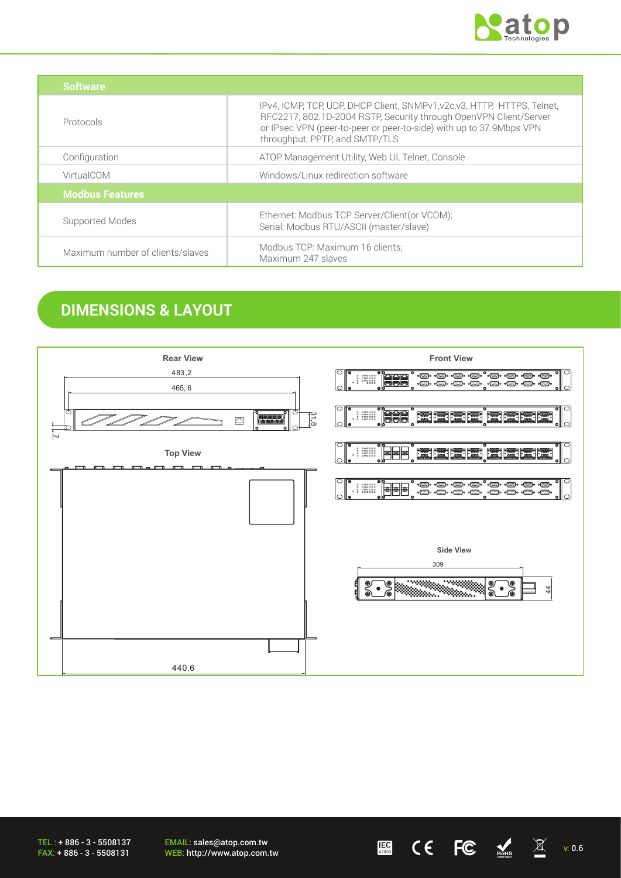

| Software                         |                                                                                                                                                                                                                                                        |
|----------------------------------|--------------------------------------------------------------------------------------------------------------------------------------------------------------------------------------------------------------------------------------------------------|
| Protocols                        | IPv4, ICMP, TCP, UDP, DHCP Client, SNMPv1, v2c, v3, HTTP, HTTPS, Telnet,<br>RFC2217, 802.1D-2004 RSTP, Security through OpenVPN Client/Server<br>or IPsec VPN (peer-to-peer or peer-to-side) with up to 37.9Mbps VPN<br>throughput, PPTP, and SMTP/TLS |
| Configuration                    | ATOP Management Utility, Web UI, Telnet, Console                                                                                                                                                                                                       |
| VirtualCOM                       | Windows/Linux redirection software                                                                                                                                                                                                                     |
| <b>Modbus Features</b>           |                                                                                                                                                                                                                                                        |
| Supported Modes                  | Ethernet: Modbus TCP Server/Client(or VCOM);<br>Serial: Modbus RTU/ASCII (master/slave)                                                                                                                                                                |
| Maximum number of clients/slaves | Modbus TCP: Maximum 16 clients;<br>Maximum 247 slaves                                                                                                                                                                                                  |

# **DIMENSIONS & LAYOUT**



TEL : + 886 - 3 - 5508137 FAX: + 886 - 3 - 5508131

EMAIL: sales@atop.com.tw

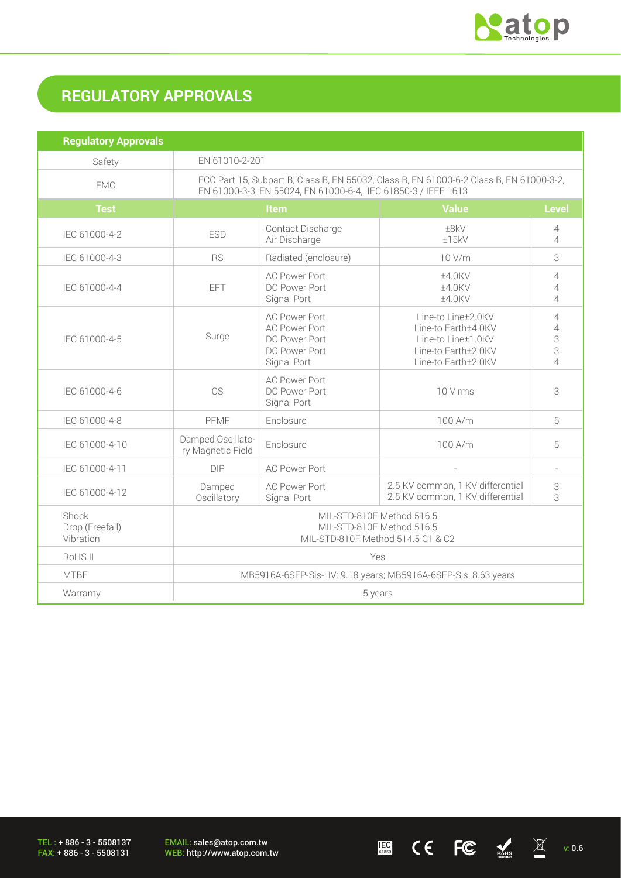

# **REGULATORY APPROVALS**

| <b>Regulatory Approvals</b>           |                                                                                                                                                          |                                                                                               |                                                                                                               |                                                    |
|---------------------------------------|----------------------------------------------------------------------------------------------------------------------------------------------------------|-----------------------------------------------------------------------------------------------|---------------------------------------------------------------------------------------------------------------|----------------------------------------------------|
| Safety                                | EN 61010-2-201                                                                                                                                           |                                                                                               |                                                                                                               |                                                    |
| <b>EMC</b>                            | FCC Part 15, Subpart B, Class B, EN 55032, Class B, EN 61000-6-2 Class B, EN 61000-3-2,<br>EN 61000-3-3, EN 55024, EN 61000-6-4, IEC 61850-3 / IEEE 1613 |                                                                                               |                                                                                                               |                                                    |
| <b>Test</b>                           | <b>Value</b><br>Item                                                                                                                                     |                                                                                               |                                                                                                               | <b>Level</b>                                       |
| IEC 61000-4-2                         | <b>ESD</b>                                                                                                                                               | Contact Discharge<br>Air Discharge                                                            | ±8kV<br>±15kV                                                                                                 | $\overline{4}$<br>$\overline{4}$                   |
| IEC 61000-4-3                         | <b>RS</b>                                                                                                                                                | Radiated (enclosure)                                                                          | 10 V/m                                                                                                        | 3                                                  |
| IEC 61000-4-4                         | EFT                                                                                                                                                      | <b>AC Power Port</b><br>DC Power Port<br>Signal Port                                          | ±4.0KV<br>±4.0KV<br>±4.0KV                                                                                    | $\overline{4}$<br>$\overline{4}$<br>$\overline{4}$ |
| IEC 61000-4-5                         | Surge                                                                                                                                                    | <b>AC Power Port</b><br><b>AC Power Port</b><br>DC Power Port<br>DC Power Port<br>Signal Port | Line-to Line±2.0KV<br>Line-to Earth±4.0KV<br>Line-to Line±1.0KV<br>Line-to Earth±2.0KV<br>Line-to Earth±2.0KV | 4<br>$\overline{4}$<br>3<br>3<br>4                 |
| IEC 61000-4-6                         | CS                                                                                                                                                       | <b>AC Power Port</b><br>DC Power Port<br>Signal Port                                          | 10 V rms                                                                                                      | 3                                                  |
| IEC 61000-4-8                         | PFMF                                                                                                                                                     | Enclosure                                                                                     | 100 A/m                                                                                                       | 5                                                  |
| IEC 61000-4-10                        | Damped Oscillato-<br>ry Magnetic Field                                                                                                                   | Enclosure                                                                                     | 100 A/m                                                                                                       | 5                                                  |
| IEC 61000-4-11                        | DIP                                                                                                                                                      | <b>AC Power Port</b>                                                                          |                                                                                                               |                                                    |
| IEC 61000-4-12                        | Damped<br>Oscillatory                                                                                                                                    | <b>AC Power Port</b><br>Signal Port                                                           | 2.5 KV common, 1 KV differential<br>2.5 KV common, 1 KV differential                                          | 3<br>3                                             |
| Shock<br>Drop (Freefall)<br>Vibration | MIL-STD-810F Method 516.5<br>MIL-STD-810F Method 516.5<br>MIL-STD-810F Method 514.5 C1 & C2                                                              |                                                                                               |                                                                                                               |                                                    |
| RoHS <sub>II</sub>                    | Yes                                                                                                                                                      |                                                                                               |                                                                                                               |                                                    |
| <b>MTBF</b>                           | MB5916A-6SFP-Sis-HV: 9.18 years; MB5916A-6SFP-Sis: 8.63 years                                                                                            |                                                                                               |                                                                                                               |                                                    |
| Warranty                              | 5 years                                                                                                                                                  |                                                                                               |                                                                                                               |                                                    |

TEL : + 886 - 3 - 5508137 FAX: + 886 - 3 - 5508131

EMAIL: sales@atop.com.tw<br>WEB: http://www.atop.com.tw